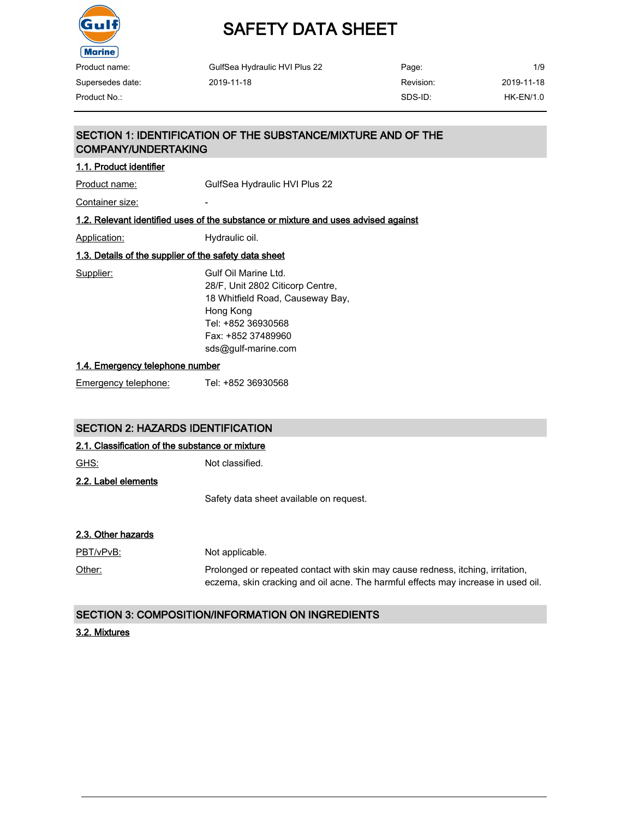

# SAFETY DATA SHEET

| Product name:    | GulfSea Hydraulic HVI Plus 22 | Page:     | 1/9              |
|------------------|-------------------------------|-----------|------------------|
| Supersedes date: | 2019-11-18                    | Revision: | 2019-11-18       |
| Product No.:     |                               | SDS-ID:   | <b>HK-EN/1.0</b> |

### SECTION 1: IDENTIFICATION OF THE SUBSTANCE/MIXTURE AND OF THE COMPANY/UNDERTAKING

#### 1.1. Product identifier

Product name: GulfSea Hydraulic HVI Plus 22

Container size:

#### 1.2. Relevant identified uses of the substance or mixture and uses advised against

Application: Hydraulic oil.

### 1.3. Details of the supplier of the safety data sheet

Supplier: Gulf Oil Marine Ltd. 28/F, Unit 2802 Citicorp Centre, 18 Whitfield Road, Causeway Bay, Hong Kong Tel: +852 36930568 Fax: +852 37489960 sds@gulf-marine.com

#### 1.4. Emergency telephone number

Emergency telephone: Tel: +852 36930568

#### SECTION 2: HAZARDS IDENTIFICATION

#### 2.1. Classification of the substance or mixture

GHS: Not classified.

2.2. Label elements

Safety data sheet available on request.

#### 2.3. Other hazards

PBT/vPvB: Not applicable.

Other: Prolonged or repeated contact with skin may cause redness, itching, irritation, eczema, skin cracking and oil acne. The harmful effects may increase in used oil.

#### SECTION 3: COMPOSITION/INFORMATION ON INGREDIENTS

#### 3.2. Mixtures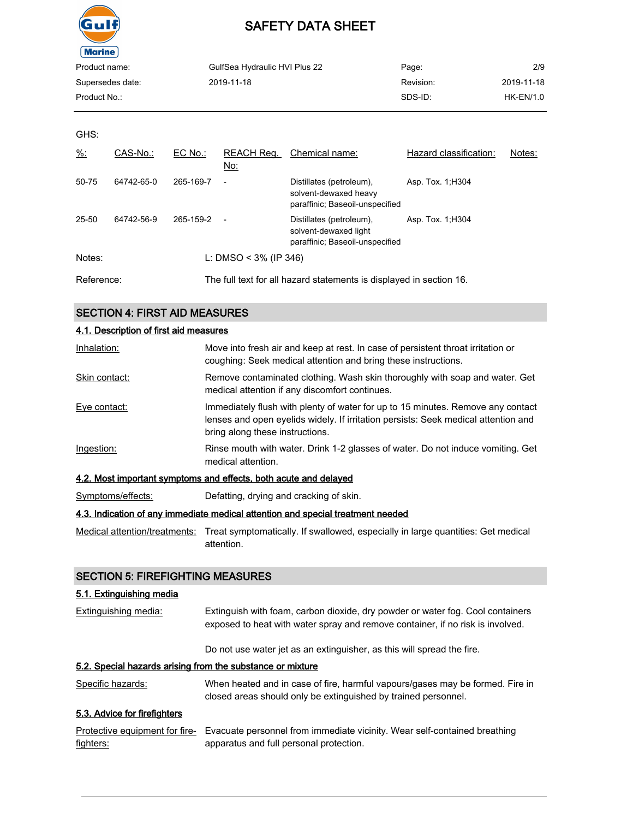

| GulfSea Hydraulic HVI Plus 22 | Page:     | 2/9        |
|-------------------------------|-----------|------------|
| 2019-11-18                    | Revision: | 2019-11-18 |
|                               | SDS-ID:   | HK-EN/1.0  |
|                               |           |            |

GHS:

| $\frac{9}{6}$ : | CAS-No.:   | $EC$ No.: | REACH Req.<br>No:        | Chemical name:                                                                       | Hazard classification: | Notes: |
|-----------------|------------|-----------|--------------------------|--------------------------------------------------------------------------------------|------------------------|--------|
| 50-75           | 64742-65-0 | 265-169-7 | $\overline{\phantom{a}}$ | Distillates (petroleum),<br>solvent-dewaxed heavy<br>paraffinic; Baseoil-unspecified | Asp. Tox. 1, H304      |        |
| 25-50           | 64742-56-9 | 265-159-2 | $\overline{a}$           | Distillates (petroleum),<br>solvent-dewaxed light<br>paraffinic; Baseoil-unspecified | Asp. Tox. 1, H304      |        |
| Notes:          |            |           | L: DMSO < $3\%$ (IP 346) |                                                                                      |                        |        |
| Reference:      |            |           |                          | The full text for all hazard statements is displayed in section 16.                  |                        |        |

## SECTION 4: FIRST AID MEASURES

| 4.1. Description of first aid measures                                          |                                                                                                                                                                                                          |  |  |
|---------------------------------------------------------------------------------|----------------------------------------------------------------------------------------------------------------------------------------------------------------------------------------------------------|--|--|
| Inhalation:                                                                     | Move into fresh air and keep at rest. In case of persistent throat irritation or<br>coughing: Seek medical attention and bring these instructions.                                                       |  |  |
| Skin contact:                                                                   | Remove contaminated clothing. Wash skin thoroughly with soap and water. Get<br>medical attention if any discomfort continues.                                                                            |  |  |
| Eye contact:                                                                    | Immediately flush with plenty of water for up to 15 minutes. Remove any contact<br>lenses and open eyelids widely. If irritation persists: Seek medical attention and<br>bring along these instructions. |  |  |
| Ingestion:                                                                      | Rinse mouth with water. Drink 1-2 glasses of water. Do not induce vomiting. Get<br>medical attention.                                                                                                    |  |  |
| 4.2. Most important symptoms and effects, both acute and delayed                |                                                                                                                                                                                                          |  |  |
| Symptoms/effects:                                                               | Defatting, drying and cracking of skin.                                                                                                                                                                  |  |  |
| 4.3. Indication of any immediate medical attention and special treatment needed |                                                                                                                                                                                                          |  |  |
|                                                                                 | Medical attention/treatments: Treat symptomatically. If swallowed, especially in large quantities: Get medical<br>attention.                                                                             |  |  |

### SECTION 5: FIREFIGHTING MEASURES

#### 5.1. Extinguishing media

| <b>Extinguishing media:</b>                                | Extinguish with foam, carbon dioxide, dry powder or water fog. Cool containers<br>exposed to heat with water spray and remove container, if no risk is involved. |
|------------------------------------------------------------|------------------------------------------------------------------------------------------------------------------------------------------------------------------|
|                                                            | Do not use water jet as an extinguisher, as this will spread the fire.                                                                                           |
| 5.2. Special hazards arising from the substance or mixture |                                                                                                                                                                  |
| Specific hazards:                                          | When heated and in case of fire, harmful vapours/gases may be formed. Fire in<br>closed areas should only be extinguished by trained personnel.                  |
| 5.3. Advice for firefighters                               |                                                                                                                                                                  |
| Protective equipment for fire-<br>fighters:                | Evacuate personnel from immediate vicinity. Wear self-contained breathing<br>apparatus and full personal protection.                                             |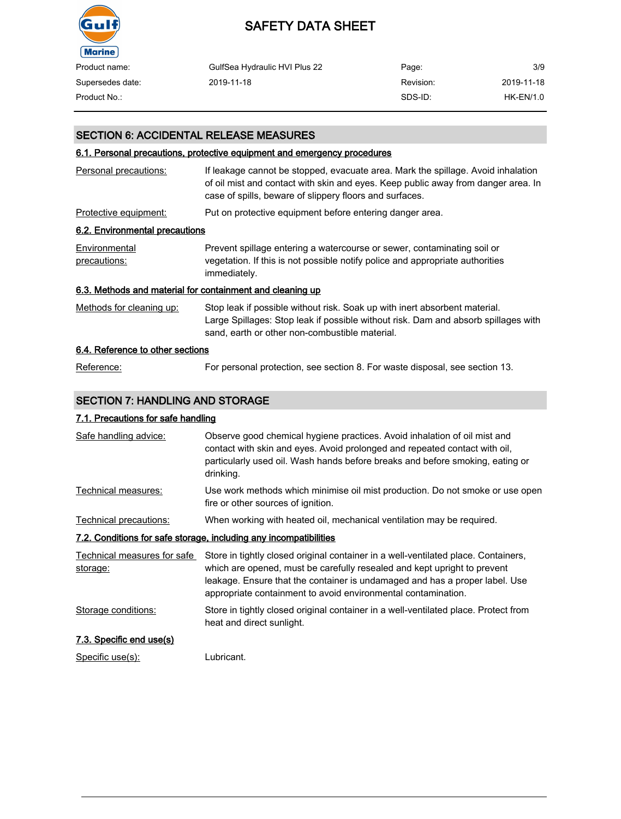

| Product name:    | GulfSea Hydraulic HVI Plus 22 | Page:     | 3/9        |
|------------------|-------------------------------|-----------|------------|
| Supersedes date: | 2019-11-18                    | Revision: | 2019-11-18 |
| Product No.:     |                               | SDS-ID:   | HK-EN/1.0  |

#### SECTION 6: ACCIDENTAL RELEASE MEASURES

#### 6.1. Personal precautions, protective equipment and emergency procedures

| Personal precautions:                                     | If leakage cannot be stopped, evacuate area. Mark the spillage. Avoid inhalation<br>of oil mist and contact with skin and eyes. Keep public away from danger area. In<br>case of spills, beware of slippery floors and surfaces. |
|-----------------------------------------------------------|----------------------------------------------------------------------------------------------------------------------------------------------------------------------------------------------------------------------------------|
| Protective equipment:                                     | Put on protective equipment before entering danger area.                                                                                                                                                                         |
| 6.2. Environmental precautions                            |                                                                                                                                                                                                                                  |
| Environmental<br>precautions:                             | Prevent spillage entering a watercourse or sewer, contaminating soil or<br>vegetation. If this is not possible notify police and appropriate authorities<br>immediately.                                                         |
| 6.3. Methods and material for containment and cleaning up |                                                                                                                                                                                                                                  |
| Methods for cleaning up:                                  | Stop leak if possible without risk. Soak up with inert absorbent material.<br>Large Spillages: Stop leak if possible without risk. Dam and absorb spillages with<br>sand, earth or other non-combustible material.               |
| 6.4. Reference to other sections                          |                                                                                                                                                                                                                                  |
|                                                           |                                                                                                                                                                                                                                  |

## Reference: For personal protection, see section 8. For waste disposal, see section 13.

### SECTION 7: HANDLING AND STORAGE

#### 7.1. Precautions for safe handling

| Safe handling advice:                   | Observe good chemical hygiene practices. Avoid inhalation of oil mist and<br>contact with skin and eyes. Avoid prolonged and repeated contact with oil,<br>particularly used oil. Wash hands before breaks and before smoking, eating or<br>drinking.                                                          |
|-----------------------------------------|----------------------------------------------------------------------------------------------------------------------------------------------------------------------------------------------------------------------------------------------------------------------------------------------------------------|
| Technical measures:                     | Use work methods which minimise oil mist production. Do not smoke or use open<br>fire or other sources of ignition.                                                                                                                                                                                            |
| Technical precautions:                  | When working with heated oil, mechanical ventilation may be required.                                                                                                                                                                                                                                          |
|                                         | 7.2. Conditions for safe storage, including any incompatibilities                                                                                                                                                                                                                                              |
| Technical measures for safe<br>storage: | Store in tightly closed original container in a well-ventilated place. Containers,<br>which are opened, must be carefully resealed and kept upright to prevent<br>leakage. Ensure that the container is undamaged and has a proper label. Use<br>appropriate containment to avoid environmental contamination. |
| Storage conditions:                     | Store in tightly closed original container in a well-ventilated place. Protect from<br>heat and direct sunlight.                                                                                                                                                                                               |
| 7.3. Specific end use(s)                |                                                                                                                                                                                                                                                                                                                |
| Specific use(s):                        | Lubricant.                                                                                                                                                                                                                                                                                                     |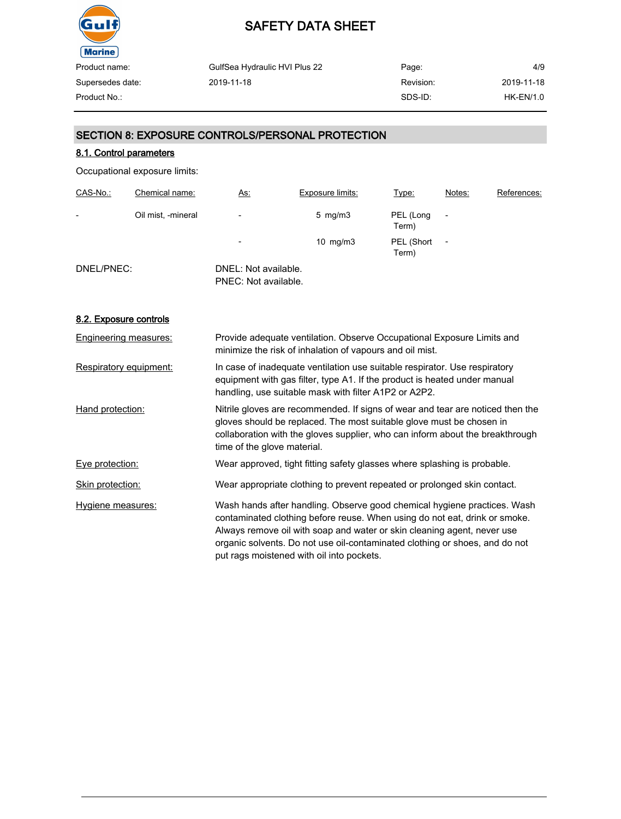

| GulfSea Hydraulic HVI Plus 22 | Page:     | 4/9         |
|-------------------------------|-----------|-------------|
| 2019-11-18                    | Revision: | 2019-11-18  |
|                               | SDS-ID:   | $HK-EN/1.0$ |
|                               |           |             |

### SECTION 8: EXPOSURE CONTROLS/PERSONAL PROTECTION

#### 8.1. Control parameters

Occupational exposure limits:

| CAS-No.:                 | Chemical name:     | <u>As:</u>                                   | <b>Exposure limits:</b> | Type:               | Notes:         | References: |
|--------------------------|--------------------|----------------------------------------------|-------------------------|---------------------|----------------|-------------|
| $\overline{\phantom{0}}$ | Oil mist, -mineral | $\overline{\phantom{a}}$                     | $5 \,$ mg/m $3 \,$      | PEL (Long<br>Term)  |                |             |
|                          |                    | $\overline{\phantom{a}}$                     | 10 $mg/m3$              | PEL (Short<br>Term) | $\overline{a}$ |             |
| DNEL/PNEC:               |                    | DNEL: Not available.<br>PNEC: Not available. |                         |                     |                |             |

#### 8.2. Exposure controls

| <b>Engineering measures:</b> | Provide adequate ventilation. Observe Occupational Exposure Limits and<br>minimize the risk of inhalation of vapours and oil mist.                                                                                                                                                                                                                            |
|------------------------------|---------------------------------------------------------------------------------------------------------------------------------------------------------------------------------------------------------------------------------------------------------------------------------------------------------------------------------------------------------------|
| Respiratory equipment:       | In case of inadequate ventilation use suitable respirator. Use respiratory<br>equipment with gas filter, type A1. If the product is heated under manual<br>handling, use suitable mask with filter A1P2 or A2P2.                                                                                                                                              |
| Hand protection:             | Nitrile gloves are recommended. If signs of wear and tear are noticed then the<br>gloves should be replaced. The most suitable glove must be chosen in<br>collaboration with the gloves supplier, who can inform about the breakthrough<br>time of the glove material.                                                                                        |
| Eye protection:              | Wear approved, tight fitting safety glasses where splashing is probable.                                                                                                                                                                                                                                                                                      |
| Skin protection:             | Wear appropriate clothing to prevent repeated or prolonged skin contact.                                                                                                                                                                                                                                                                                      |
| Hygiene measures:            | Wash hands after handling. Observe good chemical hygiene practices. Wash<br>contaminated clothing before reuse. When using do not eat, drink or smoke.<br>Always remove oil with soap and water or skin cleaning agent, never use<br>organic solvents. Do not use oil-contaminated clothing or shoes, and do not<br>put rags moistened with oil into pockets. |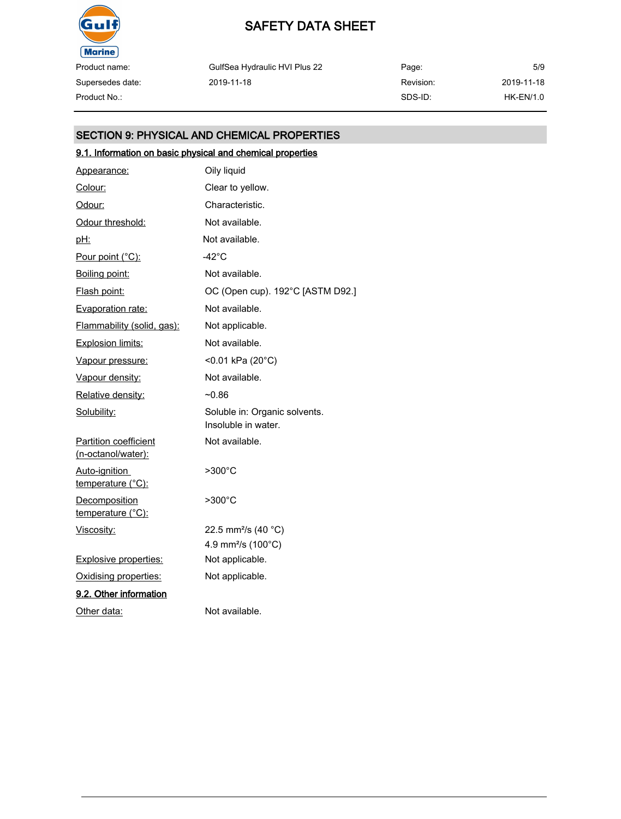

Supersedes date:

## SAFETY DATA SHEET

GulfSea Hydraulic HVI Plus 22 2019-11-18

Page: Revision: SDS-ID: 5/9 Product No.: HK-EN/1.0

2019-11-18

### SECTION 9: PHYSICAL AND CHEMICAL PROPERTIES

### 9.1. Information on basic physical and chemical properties

| Appearance:                                        | Oily liquid                                          |
|----------------------------------------------------|------------------------------------------------------|
| Colour:                                            | Clear to yellow.                                     |
| Odour:                                             | Characteristic.                                      |
| Odour threshold:                                   | Not available.                                       |
| <u>pH:</u>                                         | Not available.                                       |
| Pour point (°C):                                   | -42°C                                                |
| Boiling point:                                     | Not available.                                       |
| Flash point:                                       | OC (Open cup). 192°C [ASTM D92.]                     |
| Evaporation rate:                                  | Not available.                                       |
| Flammability (solid, gas):                         | Not applicable.                                      |
| <b>Explosion limits:</b>                           | Not available.                                       |
| Vapour pressure:                                   | <0.01 kPa (20°C)                                     |
| Vapour density:                                    | Not available.                                       |
| Relative density:                                  | $-0.86$                                              |
| Solubility:                                        | Soluble in: Organic solvents.<br>Insoluble in water. |
| <b>Partition coefficient</b><br>(n-octanol/water): | Not available.                                       |
| Auto-ignition<br><u>temperature (°C):</u>          | $>300^{\circ}$ C                                     |
| Decomposition<br>temperature (°C):                 | >300°C                                               |
| Viscosity:                                         | 22.5 mm <sup>2</sup> /s (40 °C)                      |
|                                                    | 4.9 mm <sup>2</sup> /s (100°C)                       |
| Explosive properties:                              | Not applicable.                                      |
| Oxidising properties:                              | Not applicable.                                      |
| 9.2. Other information                             |                                                      |
| Other data:                                        | Not available.                                       |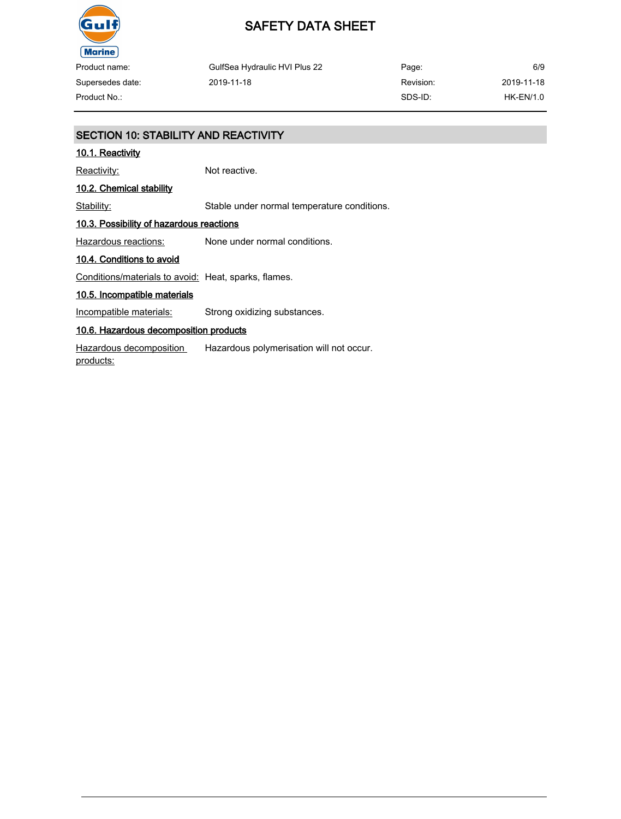

Product name: Supersedes date:

GulfSea Hydraulic HVI Plus 22 2019-11-18

Page: Revision: SDS-ID: 6/9 Product No.: HK-EN/1.0

2019-11-18

### SECTION 10: STABILITY AND REACTIVITY

#### 10.1. Reactivity

Reactivity: Not reactive.

### 10.2. Chemical stability

Stability: Stable under normal temperature conditions.

#### 10.3. Possibility of hazardous reactions

Hazardous reactions: None under normal conditions.

#### 10.4. Conditions to avoid

Conditions/materials to avoid: Heat, sparks, flames.

#### 10.5. Incompatible materials

Incompatible materials: Strong oxidizing substances.

#### 10.6. Hazardous decomposition products

Hazardous decomposition products: Hazardous polymerisation will not occur.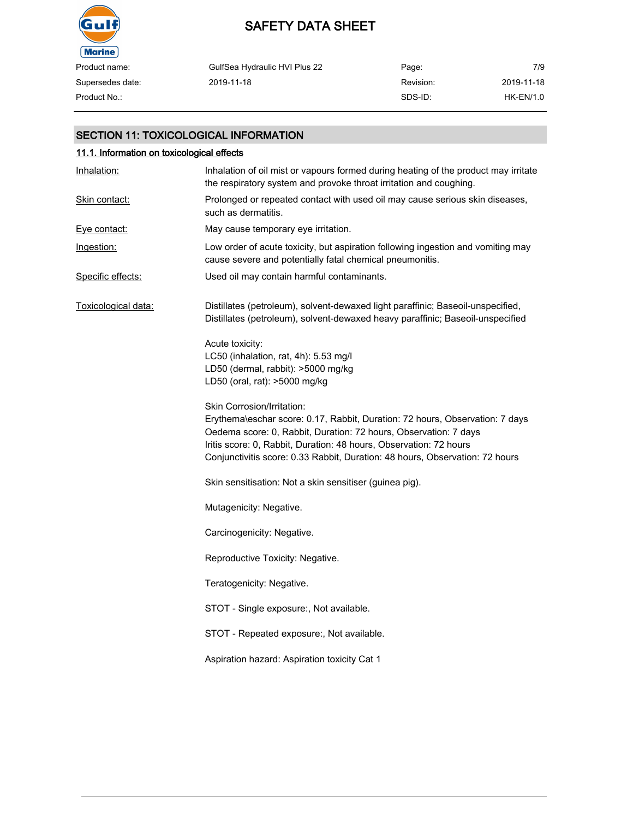

## SAFETY DATA SHEET

| Product name:    | GulfSea Hydraulic HVI Plus 22 | Page:     | 7/9        |
|------------------|-------------------------------|-----------|------------|
| Supersedes date: | 2019-11-18                    | Revision: | 2019-11-18 |
| Product No.:     |                               | SDS-ID:   | HK-EN/1.0  |

#### SECTION 11: TOXICOLOGICAL INFORMATION

| 11.1. Information on toxicological effects |                                                                                                                                                                                                                                                                                                                                      |  |  |
|--------------------------------------------|--------------------------------------------------------------------------------------------------------------------------------------------------------------------------------------------------------------------------------------------------------------------------------------------------------------------------------------|--|--|
| Inhalation:                                | Inhalation of oil mist or vapours formed during heating of the product may irritate<br>the respiratory system and provoke throat irritation and coughing.                                                                                                                                                                            |  |  |
| Skin contact:                              | Prolonged or repeated contact with used oil may cause serious skin diseases,<br>such as dermatitis.                                                                                                                                                                                                                                  |  |  |
| Eve contact:                               | May cause temporary eye irritation.                                                                                                                                                                                                                                                                                                  |  |  |
| Ingestion:                                 | Low order of acute toxicity, but aspiration following ingestion and vomiting may<br>cause severe and potentially fatal chemical pneumonitis.                                                                                                                                                                                         |  |  |
| Specific effects:                          | Used oil may contain harmful contaminants.                                                                                                                                                                                                                                                                                           |  |  |
| Toxicological data:                        | Distillates (petroleum), solvent-dewaxed light paraffinic; Baseoil-unspecified,<br>Distillates (petroleum), solvent-dewaxed heavy paraffinic; Baseoil-unspecified                                                                                                                                                                    |  |  |
|                                            | Acute toxicity:<br>LC50 (inhalation, rat, 4h): 5.53 mg/l<br>LD50 (dermal, rabbit): >5000 mg/kg<br>LD50 (oral, rat): >5000 mg/kg                                                                                                                                                                                                      |  |  |
|                                            | Skin Corrosion/Irritation:<br>Erythema\eschar score: 0.17, Rabbit, Duration: 72 hours, Observation: 7 days<br>Oedema score: 0, Rabbit, Duration: 72 hours, Observation: 7 days<br>Iritis score: 0, Rabbit, Duration: 48 hours, Observation: 72 hours<br>Conjunctivitis score: 0.33 Rabbit, Duration: 48 hours, Observation: 72 hours |  |  |
|                                            | Skin sensitisation: Not a skin sensitiser (guinea pig).                                                                                                                                                                                                                                                                              |  |  |
|                                            | Mutagenicity: Negative.                                                                                                                                                                                                                                                                                                              |  |  |
|                                            | Carcinogenicity: Negative.                                                                                                                                                                                                                                                                                                           |  |  |
|                                            | Reproductive Toxicity: Negative.                                                                                                                                                                                                                                                                                                     |  |  |
|                                            | Teratogenicity: Negative.                                                                                                                                                                                                                                                                                                            |  |  |
|                                            | STOT - Single exposure:, Not available.                                                                                                                                                                                                                                                                                              |  |  |
|                                            | STOT - Repeated exposure:, Not available.                                                                                                                                                                                                                                                                                            |  |  |
|                                            | Aspiration hazard: Aspiration toxicity Cat 1                                                                                                                                                                                                                                                                                         |  |  |
|                                            |                                                                                                                                                                                                                                                                                                                                      |  |  |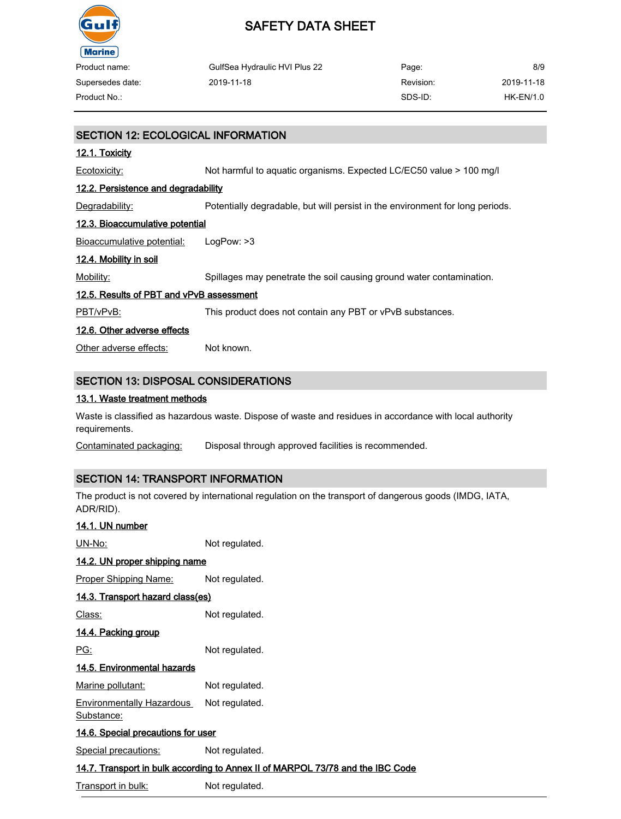

| Product name:    | GulfSea Hydraulic HVI Plus 22 | Page:     | 8/9        |
|------------------|-------------------------------|-----------|------------|
| Supersedes date: | 2019-11-18                    | Revision: | 2019-11-18 |
| Product No.:     |                               | SDS-ID:   | HK-EN/1.0  |

## SECTION 12: ECOLOGICAL INFORMATION 12.1. Toxicity Ecotoxicity: Not harmful to aquatic organisms. Expected LC/EC50 value > 100 mg/l 12.2. Persistence and degradability Degradability: Potentially degradable, but will persist in the environment for long periods. 12.3. Bioaccumulative potential Bioaccumulative potential: LogPow: >3 12.4. Mobility in soil Mobility: Spillages may penetrate the soil causing ground water contamination. 12.5. Results of PBT and vPvB assessment PBT/vPvB: This product does not contain any PBT or vPvB substances. 12.6. Other adverse effects Other adverse effects: Not known. SECTION 13: DISPOSAL CONSIDERATIONS

#### 13.1. Waste treatment methods

Waste is classified as hazardous waste. Dispose of waste and residues in accordance with local authority requirements.

Contaminated packaging: Disposal through approved facilities is recommended.

#### SECTION 14: TRANSPORT INFORMATION

The product is not covered by international regulation on the transport of dangerous goods (IMDG, IATA, ADR/RID).

| 14.1. UN number                                                                |                |  |  |  |
|--------------------------------------------------------------------------------|----------------|--|--|--|
| UN-No:                                                                         | Not regulated. |  |  |  |
| 14.2. UN proper shipping name                                                  |                |  |  |  |
| <b>Proper Shipping Name:</b>                                                   | Not regulated. |  |  |  |
| 14.3. Transport hazard class(es)                                               |                |  |  |  |
| Class:                                                                         | Not regulated. |  |  |  |
| <u>14.4. Packing group</u>                                                     |                |  |  |  |
| PG:                                                                            | Not regulated. |  |  |  |
| 14.5. Environmental hazards                                                    |                |  |  |  |
| Marine pollutant:                                                              | Not regulated. |  |  |  |
| <b>Environmentally Hazardous</b><br>Substance:                                 | Not regulated. |  |  |  |
| <u>14.6. Special precautions for user</u>                                      |                |  |  |  |
| <b>Special precautions:</b>                                                    | Not regulated. |  |  |  |
| 14.7. Transport in bulk according to Annex II of MARPOL 73/78 and the IBC Code |                |  |  |  |

Transport in bulk: Not regulated.